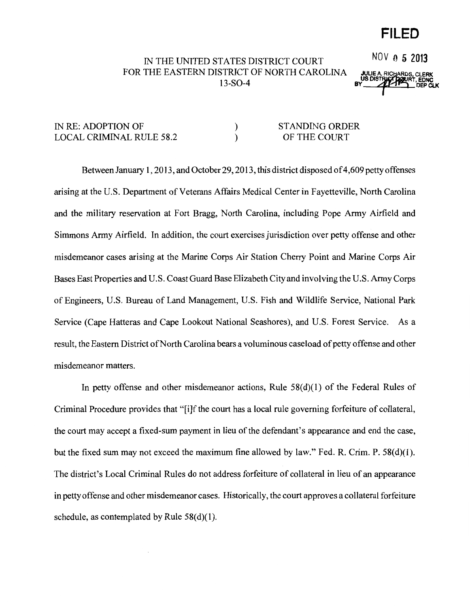## **FILED**

## IN THE UNITED STATES DISTRICT COURT NOV 0 5 2013 FOR THE EASTERN DISTRICT OF NORTH CAROLINA **13-SO-4 BY BISTRICHLICK BY BY BISTRICHLICK**

## IN RE: ADOPTION OF LOCAL CRIMINAL RULE 58.2 ) ) STANDING ORDER OF THE COURT

Between January 1, 2013, and October 29, 2013, this district disposed of 4,609 petty offenses arising at the U.S. Department of Veterans Affairs Medical Center in Fayetteville, North Carolina and the military reservation at Fort Bragg, North Carolina, including Pope Army Airfield and Simmons Army Airfield. In addition, the court exercises jurisdiction over petty offense and other misdemeanor cases arising at the Marine Corps Air Station Cherry Point and Marine Corps Air Bases East Properties and U.S. Coast Guard Base Elizabeth City and involving the U.S. Army Corps of Engineers, U.S. Bureau of Land Management, U.S. Fish and Wildlife Service, National Park Service (Cape Hatteras and Cape Lookout National Seashores), and U.S. Forest Service. As a result, the Eastern District of North Carolina bears a voluminous caseload of petty offense and other misdemeanor matters.

In petty offense and other misdemeanor actions, Rule  $58(d)(1)$  of the Federal Rules of Criminal Procedure provides that "[i]f the court has a local rule governing forfeiture of collateral, the court may accept a fixed-sum payment in lieu of the defendant's appearance and end the case, but the fixed sum may not exceed the maximum fine allowed by law." Fed. R. Crim. P. 58(d)(l). The district's Local Criminal Rules do not address forfeiture of collateral in lieu of an appearance in petty offense and other misdemeanor cases. Historically, the court approves a collateral forfeiture schedule, as contemplated by Rule  $58(d)(1)$ .